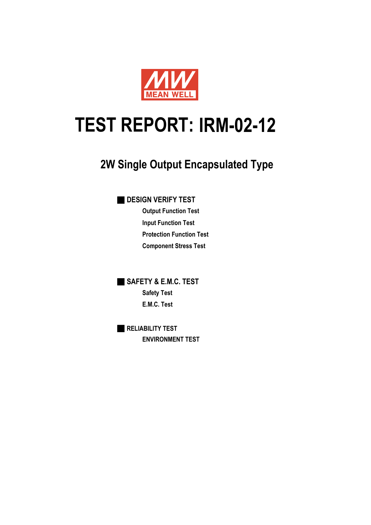

# **IRM-02-12 TEST REPORT:**

# **2W Single Output Encapsulated Type**

■ **DESIGN VERIFY TEST**

**Output Function Test Input Function Test Protection Function Test Component Stress Test**

■ **SAFETY & E.M.C. TEST Safety Test E.M.C. Test**

■ **RELIABILITY TEST ENVIRONMENT TEST**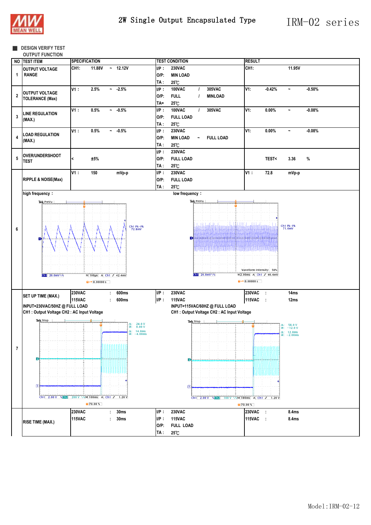

#### **B** DESIGN VERIFY TEST

|  | <b>OUTPUT FUNCTION</b> |  |
|--|------------------------|--|

|                         | NO TEST ITEM                                | <b>SPECIFICATION</b>                          |         | <b>TEST CONDITION</b>                           | <b>RESULT</b>                                     |                                                                                                |
|-------------------------|---------------------------------------------|-----------------------------------------------|---------|-------------------------------------------------|---------------------------------------------------|------------------------------------------------------------------------------------------------|
|                         | <b>OUTPUT VOLTAGE</b>                       | <b>CH1:</b><br>11.88V<br>$-12.12V$            | $I/P$ : | <b>230VAC</b>                                   | CH <sub>1:</sub>                                  | 11.95V                                                                                         |
| $\mathbf{1}$            | <b>RANGE</b>                                |                                               | $O/P$ : | <b>MIN LOAD</b>                                 |                                                   |                                                                                                |
|                         |                                             |                                               | TA :    | 25°C                                            |                                                   |                                                                                                |
|                         |                                             | V1:<br>2.5%<br>$-2.5%$                        | $I/P$ : | <b>100VAC</b><br>305VAC                         | V1:<br>$-0.42%$                                   | $-0.50%$<br>$\tilde{\phantom{a}}$                                                              |
|                         | <b>OUTPUT VOLTAGE</b>                       |                                               |         | $\prime$                                        |                                                   |                                                                                                |
| $\bf 2$                 | <b>TOLERANCE (Max)</b>                      |                                               | $O/P$ : | <b>FULL</b><br><b>MINLOAD</b><br>$\overline{1}$ |                                                   |                                                                                                |
|                         |                                             |                                               | TA=     | 25°C                                            |                                                   |                                                                                                |
|                         |                                             | V1:<br>0.5%<br>$-0.5%$                        | $I/P$ : | <b>100VAC</b><br>305VAC<br>$\prime$             | V1:<br>$0.00\%$                                   | $-0.08%$<br>$\tilde{\phantom{a}}$                                                              |
| $\overline{\mathbf{3}}$ | <b>LINE REGULATION</b><br>(MAX.)            |                                               | $O/P$ : | <b>FULL LOAD</b>                                |                                                   |                                                                                                |
|                         |                                             |                                               | TA:     | 25°C                                            |                                                   |                                                                                                |
|                         |                                             | V1:<br>0.5%<br>$~1 - 0.5\%$                   | $I/P$ : | <b>230VAC</b>                                   | V1:<br>0.00%                                      | $-0.08%$<br>$\tilde{\phantom{a}}$                                                              |
| $\overline{\mathbf{4}}$ | <b>LOAD REGULATION</b>                      |                                               | $O/P$ : | <b>MIN LOAD</b><br><b>FULL LOAD</b>             |                                                   |                                                                                                |
|                         | (MAX.)                                      |                                               |         |                                                 |                                                   |                                                                                                |
|                         |                                             |                                               | TA :    | 25°C                                            |                                                   |                                                                                                |
|                         | <b>OVER/UNDERSHOOT</b>                      |                                               | $I/P$ : | <b>230VAC</b>                                   |                                                   |                                                                                                |
| 5                       | TEST                                        | ±5%<br>$\overline{\phantom{a}}$               | $O/P$ : | <b>FULL LOAD</b>                                | <b>TEST&lt;</b>                                   | $\%$<br>3.36                                                                                   |
|                         |                                             |                                               | TA:     | 25°C                                            |                                                   |                                                                                                |
|                         |                                             | V1:<br>150<br>mVp-p                           | $I/P$ : | <b>230VAC</b>                                   | V1:<br>72.8                                       | mVp-p                                                                                          |
|                         | <b>RIPPLE &amp; NOISE(Max)</b>              |                                               | O/P:    | <b>FULL LOAD</b>                                |                                                   |                                                                                                |
|                         |                                             |                                               | TA:     | $25\mathrm{^\circ}\mathrm{C}$                   |                                                   |                                                                                                |
|                         | high frequency:                             |                                               |         | low frequency:                                  |                                                   |                                                                                                |
|                         |                                             |                                               |         |                                                 |                                                   |                                                                                                |
|                         | Tek PreVu                                   |                                               |         | Tek PreVu                                       |                                                   |                                                                                                |
|                         |                                             |                                               |         |                                                 |                                                   |                                                                                                |
|                         |                                             |                                               |         |                                                 |                                                   |                                                                                                |
|                         |                                             |                                               |         | <u> Lilliuli I</u>                              | JH.                                               |                                                                                                |
| 6                       |                                             | $Ch1$ Pk-Pk<br>72.8mV                         |         |                                                 |                                                   | $Ch1$ Pk-Pk<br>71.6mV                                                                          |
|                         |                                             |                                               |         |                                                 |                                                   |                                                                                                |
|                         |                                             |                                               |         | D<br><b>LE ANGELIA</b>                          |                                                   |                                                                                                |
|                         |                                             |                                               |         |                                                 |                                                   |                                                                                                |
|                         |                                             |                                               |         |                                                 |                                                   |                                                                                                |
|                         |                                             |                                               |         |                                                 |                                                   |                                                                                                |
|                         |                                             |                                               |         |                                                 |                                                   |                                                                                                |
|                         |                                             |                                               |         | $611 - 20.0$ mV $\sqrt{8}$                      | Waveform Intensity: 56%<br>M2.00ms A Ch1 / 46.4mV |                                                                                                |
|                         | $\boxed{9}$ 20.0mV $\sqrt{8}$               | M 100us A Ch1 J 42.4mV                        |         |                                                 | $\sqrt{2 + x}$ 0.00000 s                          |                                                                                                |
|                         |                                             | $\overline{u}$ + $\overline{v}$ 0.00000 s     |         |                                                 |                                                   |                                                                                                |
|                         |                                             | <b>230VAC</b><br>600ms<br>÷                   | $I/P$ : | <b>230VAC</b>                                   | 230VAC :                                          | 14ms                                                                                           |
|                         | SET UP TIME (MAX.)                          | <b>115VAC</b><br>600ms<br>t                   | $I/P$ : | <b>115VAC</b>                                   | <b>115VAC</b><br>$\sim$ 1                         | 12ms                                                                                           |
|                         | INPUT=230VAC/50HZ @ FULL LOAD               |                                               |         | INPUT=115VAC/60HZ @ FULL LOAD                   |                                                   |                                                                                                |
|                         | CH1 : Output Voltage CH2 : AC Input Voltage |                                               |         | CH1 : Output Voltage CH2 : AC Input Voltage     |                                                   |                                                                                                |
|                         |                                             |                                               |         |                                                 |                                                   |                                                                                                |
|                         | Tek Stop                                    | $24.0 V$<br>$0.00 V$<br>Δ:                    |         | Tek Stop                                        |                                                   |                                                                                                |
|                         |                                             | $\circledcirc$<br>$\Delta$ : 14.0ms           |         |                                                 |                                                   | $\Delta: 58.0 V$<br>$@: -12.0 V$                                                               |
|                         |                                             | $-4.00ms$<br>$\circledcirc$                   |         |                                                 |                                                   | $\begin{array}{ll} \Delta: & 12.0 \text{ms} \\ \textcircled{a}: & -2.00 \text{ms} \end{array}$ |
|                         |                                             |                                               |         |                                                 |                                                   |                                                                                                |
| $\overline{7}$          |                                             |                                               |         |                                                 |                                                   |                                                                                                |
|                         |                                             |                                               |         |                                                 |                                                   |                                                                                                |
|                         |                                             |                                               |         |                                                 |                                                   |                                                                                                |
|                         |                                             |                                               |         |                                                 |                                                   |                                                                                                |
|                         |                                             |                                               |         |                                                 | INIHINIHI                                         |                                                                                                |
|                         |                                             |                                               |         |                                                 |                                                   |                                                                                                |
|                         | $\mathbb{D}$                                |                                               |         | $\mathsf{u}$                                    |                                                   |                                                                                                |
|                         |                                             |                                               |         |                                                 |                                                   |                                                                                                |
|                         |                                             | Ch1 2.00 V %Gh2 200 V %M 100ms A Ch1 J 1.20 V |         | Ch1 2.00 V & Ch2 100 V & M 100ms A Ch1 J 1.20 V |                                                   |                                                                                                |
|                         |                                             | 70.00%                                        |         |                                                 | 70.00%                                            |                                                                                                |
|                         |                                             | <b>230VAC</b><br>30ms<br>÷                    | $I/P$ : | <b>230VAC</b>                                   | 230VAC :                                          | 8.4ms                                                                                          |
|                         |                                             | <b>115VAC</b><br>30 <sub>ms</sub><br>÷.       | $I/P$ : | <b>115VAC</b>                                   | 115VAC :                                          | 8.4ms                                                                                          |
|                         | <b>RISE TIME (MAX.)</b>                     |                                               |         |                                                 |                                                   |                                                                                                |
|                         |                                             |                                               | O/P:    | <b>FULL LOAD</b>                                |                                                   |                                                                                                |
|                         |                                             |                                               | TA :    | 25°C                                            |                                                   |                                                                                                |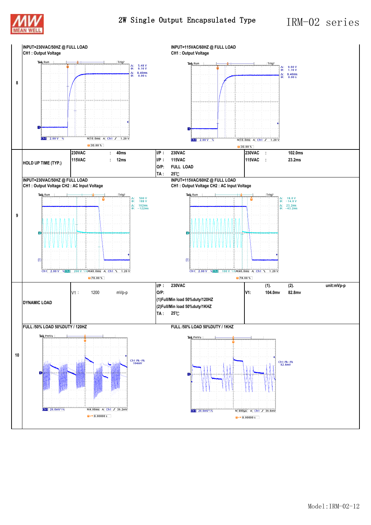



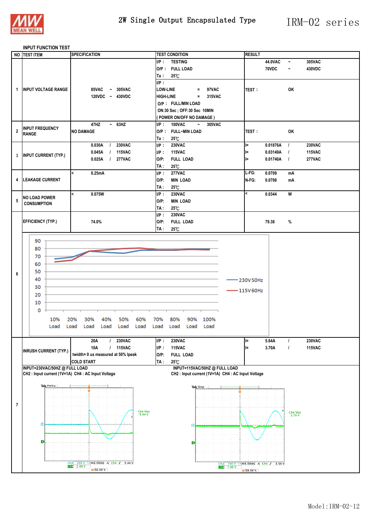

#### **INPUT FUNCTION TEST**

|                         | NO TEST ITEM                                       | <b>SPECIFICATION</b>                   | <b>TEST CONDITION</b>                              | <b>RESULT</b>                      |                                 |
|-------------------------|----------------------------------------------------|----------------------------------------|----------------------------------------------------|------------------------------------|---------------------------------|
|                         |                                                    |                                        |                                                    |                                    |                                 |
|                         |                                                    |                                        | $I/P$ :<br><b>TESTING</b>                          | 44.0VAC                            | 305VAC<br>$\tilde{\phantom{a}}$ |
|                         |                                                    |                                        | O/P: FULL LOAD                                     | 70VDC                              | 430VDC                          |
|                         |                                                    |                                        | $25^\circ$ C<br>Ta∶                                |                                    |                                 |
|                         |                                                    |                                        | IP:                                                |                                    |                                 |
|                         |                                                    |                                        |                                                    |                                    |                                 |
| 1                       | <b>INPUT VOLTAGE RANGE</b>                         | 85VAC<br>$~\sim$ 305VAC                | <b>LOW-LINE</b><br>97VAC<br>$\equiv$               | <b>TEST:</b>                       | OK                              |
|                         |                                                    | 120VDC ~ 430VDC                        | <b>HIGH-LINE</b><br>315VAC<br>$\equiv$             |                                    |                                 |
|                         |                                                    |                                        | O/P: FULL/MIN LOAD                                 |                                    |                                 |
|                         |                                                    |                                        |                                                    |                                    |                                 |
|                         |                                                    |                                        | ON:30 Sec ; OFF:30 Sec 10MIN                       |                                    |                                 |
|                         |                                                    |                                        | (POWER ON/OFF NO DAMAGE)                           |                                    |                                 |
|                         |                                                    | 47HZ<br>~53HZ                          | I/P: 100VAC<br>$\sim$<br>305VAC                    |                                    |                                 |
| $\overline{\mathbf{2}}$ | <b>INPUT FREQUENCY</b>                             | <b>NO DAMAGE</b>                       | O/P: FULL~MIN LOAD                                 | <b>TEST:</b>                       | OK                              |
|                         | <b>RANGE</b>                                       |                                        | Ta :<br>25°C                                       |                                    |                                 |
|                         |                                                    |                                        |                                                    |                                    |                                 |
|                         |                                                    | <b>230VAC</b><br>0.030A<br>$\prime$    | $I/P$ :<br><b>230VAC</b>                           | 0.01876A<br>l=                     | <b>230VAC</b><br>$\overline{1}$ |
| 3                       | <b>INPUT CURRENT (TYP.)</b>                        | <b>115VAC</b><br>0.045A<br>$\prime$    | <b>115VAC</b><br>$I/P$ :                           | 0.03149A<br>l=                     | <b>115VAC</b><br>$\overline{1}$ |
|                         |                                                    | <b>277VAC</b><br>0.025A<br>$\prime$    | $O/P$ :<br><b>FULL LOAD</b>                        | 0.01740A<br>ll=                    | <b>277VAC</b><br>$\overline{1}$ |
|                         |                                                    |                                        | 25°C<br>TA :                                       |                                    |                                 |
|                         |                                                    |                                        |                                                    |                                    |                                 |
|                         |                                                    | 0.25mA<br>$\prec$                      | <b>277VAC</b><br>$I/P$ :                           | L-FG:<br>0.0709                    | mA                              |
| 4                       | <b>LEAKAGE CURRENT</b>                             |                                        | $O/P$ :<br><b>MIN LOAD</b>                         | N-FG:<br>0.0708                    | mA                              |
|                         |                                                    |                                        | TA :<br>$25^{\circ}$ C                             |                                    |                                 |
|                         |                                                    | $\prec$<br>0.075W                      | <b>230VAC</b><br>$I/P$ :                           | k<br>0.0344                        | W                               |
| 5                       | <b>NO LOAD POWER</b>                               |                                        | <b>MIN LOAD</b>                                    |                                    |                                 |
|                         | <b>CONSUMPTION</b>                                 |                                        | $O/P$ :                                            |                                    |                                 |
|                         |                                                    |                                        | 25°C<br>TA :                                       |                                    |                                 |
|                         |                                                    |                                        | $I/P$ :<br><b>230VAC</b>                           |                                    |                                 |
|                         | <b>EFFICIENCY (TYP.)</b>                           | 74.0%                                  | $O/P$ :<br><b>FULL LOAD</b>                        | 79.38                              | $\%$                            |
|                         |                                                    |                                        |                                                    |                                    |                                 |
|                         |                                                    |                                        | TA :<br>$25^{\circ}$ C                             |                                    |                                 |
|                         |                                                    |                                        |                                                    |                                    |                                 |
|                         | 90                                                 |                                        |                                                    |                                    |                                 |
|                         | 80                                                 |                                        |                                                    |                                    |                                 |
|                         | 70                                                 |                                        |                                                    |                                    |                                 |
|                         |                                                    |                                        |                                                    |                                    |                                 |
|                         | 60                                                 |                                        |                                                    |                                    |                                 |
| 6                       | 50                                                 |                                        |                                                    |                                    |                                 |
|                         | 40                                                 |                                        |                                                    |                                    |                                 |
|                         |                                                    |                                        |                                                    | 230V50Hz                           |                                 |
|                         | 30                                                 |                                        |                                                    | $-115V60Hz$                        |                                 |
|                         | 20                                                 |                                        |                                                    |                                    |                                 |
|                         |                                                    |                                        |                                                    |                                    |                                 |
|                         | 10                                                 |                                        |                                                    |                                    |                                 |
|                         | 0                                                  |                                        |                                                    |                                    |                                 |
|                         |                                                    |                                        |                                                    |                                    |                                 |
|                         | 10%                                                | 20%<br>40%<br>50%<br>60%<br>30%        | 70%<br>80%<br>90%<br>100%                          |                                    |                                 |
|                         | Load                                               | Load<br>Load<br>Load<br>Load<br>Load   | Load<br>Load<br>Load<br>Load                       |                                    |                                 |
|                         |                                                    |                                        |                                                    |                                    |                                 |
|                         |                                                    | <b>230VAC</b><br>20A<br>$\overline{1}$ | $I/P$ :<br><b>230VAC</b>                           | 5.64A<br>ll=                       | <b>230VAC</b><br>$\overline{1}$ |
|                         |                                                    |                                        | <b>115VAC</b>                                      |                                    |                                 |
|                         | <b>INRUSH CURRENT (TYP.)</b>                       | <b>115VAC</b><br>10A<br>$\prime$       | $I/P$ :                                            | 3.70A<br>l=                        | $\overline{1}$<br><b>115VAC</b> |
|                         |                                                    | twidth= 0 us measured at 50% Ipeak     | $O/P$ :<br><b>FULL LOAD</b>                        |                                    |                                 |
|                         |                                                    | <b>COLD START</b>                      | TA:<br>25°C                                        |                                    |                                 |
|                         | INPUT=230VAC/50HZ @ FULL LOAD                      |                                        | INPUT=115VAC/50HZ @ FULL LOAD                      |                                    |                                 |
|                         | CH2 : Input current (1V=1A) CH4 : AC Input Voltage |                                        | CH2 : Input current (1V=1A) CH4 : AC Input Voltage |                                    |                                 |
|                         |                                                    |                                        |                                                    |                                    |                                 |
|                         | Tek PreVu                                          |                                        | Tek Stop                                           |                                    |                                 |
|                         |                                                    |                                        |                                                    |                                    |                                 |
|                         |                                                    |                                        |                                                    |                                    |                                 |
|                         |                                                    |                                        |                                                    |                                    |                                 |
| $\overline{7}$          |                                                    |                                        |                                                    |                                    |                                 |
|                         |                                                    | Ch4 Max<br>5.64 V                      |                                                    |                                    | Ch4 Max<br>3.70 V               |
|                         |                                                    |                                        |                                                    |                                    |                                 |
|                         | $\sqrt{2}$                                         |                                        | 12                                                 |                                    |                                 |
|                         |                                                    |                                        |                                                    |                                    |                                 |
|                         |                                                    |                                        |                                                    |                                    |                                 |
|                         | Ð                                                  |                                        | Ð                                                  |                                    |                                 |
|                         |                                                    |                                        |                                                    |                                    |                                 |
|                         |                                                    |                                        |                                                    |                                    |                                 |
|                         |                                                    |                                        |                                                    |                                    |                                 |
|                         |                                                    |                                        |                                                    | Ch2 100 V \\M4.00ms A Ch4 f 3.56 V |                                 |
|                         |                                                    | 50.00%                                 | $ch2$ 1.00 V                                       | 50.00%                             |                                 |
|                         |                                                    |                                        |                                                    |                                    |                                 |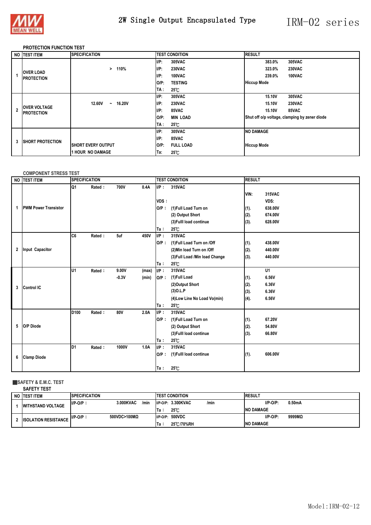

### 2W Single Output Encapsulated Type IRM-02 series

#### **PROTECTION FUNCTION TEST**

|              | NO ITEST ITEM                            | <b>SPECIFICATION</b>              | <b>TEST CONDITION</b>      | <b>RESULT</b>                                 |
|--------------|------------------------------------------|-----------------------------------|----------------------------|-----------------------------------------------|
|              |                                          |                                   | $I/P$ :<br><b>305VAC</b>   | 305VAC<br>383.0%                              |
|              |                                          | 110%<br>⋗                         | $I/P$ :<br><b>230VAC</b>   | <b>230VAC</b><br>323.0%                       |
|              | <b>OVER LOAD</b><br><b>PROTECTION</b>    |                                   | $I/P$ :<br>100VAC          | 239.0%<br>100VAC                              |
|              |                                          |                                   | <b>TESTING</b><br>O/P:     | <b>Hiccup Mode</b>                            |
|              |                                          |                                   | TA :<br>25℃                |                                               |
|              |                                          |                                   | $I/P$ :<br>305VAC          | 15.10V<br>305VAC                              |
|              |                                          | 12.60V<br><b>16.20V</b><br>$\sim$ | $I/P$ :<br><b>230VAC</b>   | 15.10V<br><b>230VAC</b>                       |
| $\mathbf{2}$ | <b>OVER VOLTAGE</b><br><b>PROTECTION</b> |                                   | $I/P$ :<br>85VAC           | 15.10V<br>85VAC                               |
|              |                                          |                                   | $O/P$ :<br><b>MIN LOAD</b> | Shut off o/p voltage, clamping by zener diode |
|              |                                          |                                   | TA :<br>$25^{\circ}$ C     |                                               |
|              |                                          |                                   | $I/P$ :<br>305VAC          | <b>NO DAMAGE</b>                              |
| 3            | <b>ISHORT PROTECTION</b>                 |                                   | $I/P$ :<br>85VAC           |                                               |
|              |                                          | <b>ISHORT EVERY OUTPUT</b>        | IO/P:<br><b>FULL LOAD</b>  | <b>Hiccup Mode</b>                            |
|              |                                          | <b>1 HOUR NO DAMAGE</b>           | $25^{\circ}$ C<br>Ta:      |                                               |

#### **COMPONENT STRESS TEST**

|   | NO TEST ITEM                | <b>SPECIFICATION</b> |        |         |       |         | <b>TEST CONDITION</b>           |      | <b>RESULT</b> |  |  |
|---|-----------------------------|----------------------|--------|---------|-------|---------|---------------------------------|------|---------------|--|--|
|   |                             | Q1                   | Rated: | 700V    | 0.4A  | $I/P$ : | 315VAC                          | VIN: | 315VAC        |  |  |
|   |                             |                      |        |         |       | VDS:    |                                 |      | VDS:          |  |  |
| 1 | <b>PWM Power Transistor</b> |                      |        |         |       | $O/P$ : | (1) Full Load Turn on           | (1). | 638.00V       |  |  |
|   |                             |                      |        |         |       |         | (2) Output Short                | (2). | 674.00V       |  |  |
|   |                             |                      |        |         |       |         | (3) Fulll load continue         | (3). | 628.00V       |  |  |
|   |                             |                      |        |         |       | Ta:     | $25^{\circ}$ C                  |      |               |  |  |
|   |                             | C6                   | Rated: | 5uf     | 450V  | $I/P$ : | 315VAC                          |      |               |  |  |
|   |                             |                      |        |         |       | $O/P$ : | (1) Full Load Turn on /Off      | (1). | 438.00V       |  |  |
| 2 | <b>Input Capacitor</b>      |                      |        |         |       |         | (2) Min load Turn on /Off       | (2). | 440.00V       |  |  |
|   |                             |                      |        |         |       |         | (3) Full Load / Min load Change | (3). | 440.00V       |  |  |
|   |                             |                      |        |         |       | Ta:     | 25℃                             |      |               |  |  |
|   |                             | U <sub>1</sub>       | Rated: | 9.00V   | (max) | $I/P$ : | 315VAC                          |      | U1            |  |  |
|   |                             |                      |        | $-0.3V$ | (min) | $O/P$ : | (1)Full Load                    | (1). | 6.56V         |  |  |
| 3 | <b>Control IC</b>           |                      |        |         |       |         | (2)Output Short                 | (2). | 6.36V         |  |  |
|   |                             |                      |        |         |       |         | $(3)$ O.L.P                     | (3). | 6.36V         |  |  |
|   |                             |                      |        |         |       |         | (4) Low Line No Load Vo(min)    | (4). | 6.56V         |  |  |
|   |                             |                      |        |         |       | Та:     | $25^{\circ}$ C                  |      |               |  |  |
|   |                             | D <sub>100</sub>     | Rated: | 80V     | 2.0A  | IP:     | 315VAC                          |      |               |  |  |
|   |                             |                      |        |         |       | $O/P$ : | (1)Full Load Turn on            | (1). | 67.20V        |  |  |
| 5 | O/P Diode                   |                      |        |         |       |         | (2) Output Short                | (2). | 54.80V        |  |  |
|   |                             |                      |        |         |       |         | (3) Fulll load continue         | (3). | 66.80V        |  |  |
|   |                             |                      |        |         |       | Ta:     | $25^{\circ}$ C                  |      |               |  |  |
|   |                             | ID1                  | Rated: | 1000V   | 1.0A  | $I/P$ : | 315VAC                          |      |               |  |  |
| 6 | <b>Clamp Diode</b>          |                      |        |         |       | $O/P$ : | (1) Fulll load continue         | (1). | 606.00V       |  |  |
|   |                             |                      |        |         |       |         |                                 |      |               |  |  |
|   |                             |                      |        |         |       | Ta:     | 25°C                            |      |               |  |  |

#### ■**SAFETY & E.M.C. TEST**

| <b>SAFETY TEST</b>          |                      |                   |                            |                       |
|-----------------------------|----------------------|-------------------|----------------------------|-----------------------|
| NO ITEST ITEM               | <b>SPECIFICATION</b> |                   | <b>ITEST CONDITION</b>     | <b>RESULT</b>         |
| <b>WITHSTAND VOLTAGE</b>    | $I/P-O/P$ :          | 3.000KVAC<br>/min | I/P-O/P: 3.300KVAC<br>/min | $I/P-O/P$ :<br>0.50mA |
|                             |                      |                   | $25^{\circ}$ C<br>lTa ∶    | <b>INO DAMAGE</b>     |
| <b>ISOLATION RESISTANCE</b> | $I/P-O/P$ :          | 500VDC>100MΩ      | I/P-O/P: 500VDC            | $I/P-O/P$ :<br>9999MQ |
|                             |                      |                   | 25 C/70%RH<br>lTa :        | <b>INO DAMAGE</b>     |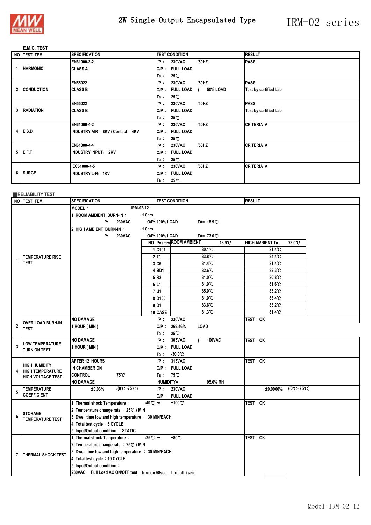

## 2W Single Output Encapsulated Type IRM-02 series

#### **E.M.C. TEST**

| NO TEST ITEM      | <b>SPECIFICATION</b>              |         | <b>TEST CONDITION</b> |                           | <b>RESULT</b>                |
|-------------------|-----------------------------------|---------|-----------------------|---------------------------|------------------------------|
|                   | EN61000-3-2                       | $I/P$ : | <b>230VAC</b>         | /50HZ                     | <b>PASS</b>                  |
| <b>HARMONIC</b>   | <b>CLASS A</b>                    |         | O/P: FULL LOAD        |                           |                              |
|                   |                                   | Ta∶     | $25^{\circ}$ C        |                           |                              |
|                   | <b>EN55022</b>                    | $I/P$ : | <b>230VAC</b>         | /50HZ                     | <b>PASS</b>                  |
| 2 CONDUCTION      | <b>CLASS B</b>                    | $O/P$ : | <b>FULL LOAD</b>      | 50% LOAD<br>$\mathcal{L}$ | <b>Test by certified Lab</b> |
|                   |                                   | Ta:     | $25^{\circ}$ C        |                           |                              |
|                   | <b>EN55022</b>                    | $I/P$ : | <b>230VAC</b>         | /50HZ                     | <b>PASS</b>                  |
| 3 RADIATION       | <b>CLASS B</b>                    |         | O/P: FULL LOAD        |                           | <b>Test by certified Lab</b> |
|                   |                                   | Ta:     | $25^{\circ}$ C        |                           |                              |
|                   | EN61000-4-2                       | $I/P$ : | <b>230VAC</b>         | /50HZ                     | <b>CRITERIA A</b>            |
| 4 <b>E.S.D</b>    | IINDUSTRY AIR: 8KV / Contact: 4KV |         | O/P: FULL LOAD        |                           |                              |
|                   |                                   | Ta:     | $25^{\circ}$ C        |                           |                              |
|                   | EN61000-4-4                       | $I/P$ : | <b>230VAC</b>         | /50HZ                     | <b>CRITERIA A</b>            |
| $5$ <b>IE.F.T</b> | <b>INDUSTRY INPUT: 2KV</b>        | O/P :   | <b>FULL LOAD</b>      |                           |                              |
|                   |                                   | Ta∶     | $25^{\circ}$ C        |                           |                              |
|                   | IEC61000-4-5                      | $I/P$ : | <b>230VAC</b>         | /50HZ                     | <b>CRITERIA A</b>            |
| 6 SURGE           | <b>INDUSTRY L-N: 1KV</b>          | $O/P$ : | <b>FULL LOAD</b>      |                           |                              |
|                   |                                   | Ta:     | $25^{\circ}$ C        |                           |                              |

#### ■**RELIABILITY TEST**

|              | NO <b>ITEST ITEM</b>                            | <b>SPECIFICATION</b>                                         | <b>TEST CONDITION</b>                      | <b>RESULT</b>                             |  |
|--------------|-------------------------------------------------|--------------------------------------------------------------|--------------------------------------------|-------------------------------------------|--|
|              |                                                 | IRM-02-12<br><b>MODEL:</b>                                   |                                            |                                           |  |
|              |                                                 | 1. ROOM AMBIENT BURN-IN:<br>1.0hrs                           |                                            |                                           |  |
|              |                                                 | <b>230VAC</b><br>IP:                                         | O/P: 100% LOAD<br>TA= 18.9 °C              |                                           |  |
|              |                                                 | 2. HIGH AMBIENT BURN-IN:<br>1.0hrs                           |                                            |                                           |  |
|              |                                                 | IP:<br>230VAC                                                | O/P: 100% LOAD<br>TA= 73.0°C               |                                           |  |
|              |                                                 |                                                              | <b>NO.</b> Position ROOM AMBIENT<br>18.9 C | 73.0°C<br><b>HIGH AMBIENT Ta:</b>         |  |
|              |                                                 |                                                              | 30.1°C<br>1C101                            | 81.4 <sup>°</sup> C                       |  |
| 1            | <b>TEMPERATURE RISE</b>                         |                                                              | $2\overline{11}$<br>33.8°C                 | 84.4°C                                    |  |
|              | TEST                                            |                                                              | 3 C6<br>31.4°C                             | 81.4°C                                    |  |
|              |                                                 |                                                              | 32.6°C<br>4BD1                             | 82.3°C                                    |  |
|              |                                                 |                                                              | 5R2<br>31.0 C                              | 80.8°C                                    |  |
|              |                                                 |                                                              | 31.9°C<br>6L1                              | 81.6 <sup>°</sup> C                       |  |
|              |                                                 |                                                              | 35.9°C<br>7U1                              | 85.2°C                                    |  |
|              |                                                 |                                                              | 31.9°C<br>8 D <sub>100</sub>               | 83.4°C                                    |  |
|              |                                                 |                                                              | 33.6°C<br>$9$ D <sub>1</sub>               | 83.2°C                                    |  |
|              |                                                 |                                                              | 10 CASE<br>31.3°C                          | 81.4 C                                    |  |
|              |                                                 | <b>NO DAMAGE</b>                                             | $I/P$ :<br><b>230VAC</b>                   | test : ok                                 |  |
| $\mathbf 2$  | OVER LOAD BURN-IN<br>TEST                       | 1 HOUR (MIN)                                                 | $O/P$ :<br>269.46%<br><b>LOAD</b>          |                                           |  |
|              |                                                 |                                                              | 25℃<br>Ta:                                 |                                           |  |
|              | <b>LOW TEMPERATURE</b>                          | <b>NO DAMAGE</b>                                             | 305VAC<br><b>100VAC</b><br>IP:             | <b>TEST: OK</b>                           |  |
| 3            | TURN ON TEST                                    | 1 HOUR ( MIN )                                               | $O/P$ :<br><b>FULL LOAD</b>                |                                           |  |
|              |                                                 |                                                              | $-30.0^{\circ}\mathrm{C}$<br>Ta :          |                                           |  |
|              |                                                 | AFTER 12 HOURS                                               | UP:<br>315VAC                              | <b>TEST: OK</b>                           |  |
| 4            | <b>HIGH HUMIDITY</b><br><b>HIGH TEMPERATURE</b> | IN CHAMBER ON                                                | O/P: FULL LOAD                             |                                           |  |
|              | <b>HIGH VOLTAGE TEST</b>                        | <b>CONTROL</b><br>75°C                                       | 75°C<br>Ta:                                |                                           |  |
|              |                                                 | <b>NO DAMAGE</b>                                             | HUMIDITY=<br>95.0% RH                      |                                           |  |
| 5            | <b>TEMPERATURE</b>                              | $/(0^{\circ}C - 75^{\circ}C)$<br>±0.03%                      | IP:<br><b>230VAC</b>                       | $/(0^{\circ}C - 75^{\circ}C)$<br>±0.0000% |  |
|              | <b>COEFFICIENT</b>                              |                                                              | <b>FULL LOAD</b><br>O/P:                   |                                           |  |
|              |                                                 | 1. Thermal shock Temperature:<br>$-40^{\circ}$ $\sim$        | +100°C                                     | TEST: OK                                  |  |
|              | <b>STORAGE</b>                                  | 2. Temperature change rate : 25℃ / MIN                       |                                            |                                           |  |
| 6            | <b>TEMPERATURE TEST</b>                         | 3. Dwell time low and high temperature : 30 MIN/EACH         |                                            |                                           |  |
|              |                                                 | 4. Total test cycle: 5 CYCLE                                 |                                            |                                           |  |
|              |                                                 | 5. Input/Output condition: STATIC                            |                                            |                                           |  |
|              |                                                 | 1. Thermal shock Temperature:<br>$-35^{\circ}$ C ~           | $+80^{\circ}$ C                            | TEST: OK                                  |  |
|              |                                                 | 2. Temperature change rate : 25°C / MIN                      |                                            |                                           |  |
| $\mathbf{7}$ | <b>THERMAL SHOCK TEST</b>                       | 3. Dwell time low and high temperature : 30 MIN/EACH         |                                            |                                           |  |
|              |                                                 | 4. Total test cycle: 10 CYCLE                                |                                            |                                           |  |
|              |                                                 | 5. Input/Output condition:                                   |                                            |                                           |  |
|              |                                                 | 230VAC Full Load AC ON/OFF test turn on 58sec; turn off 2sec |                                            |                                           |  |